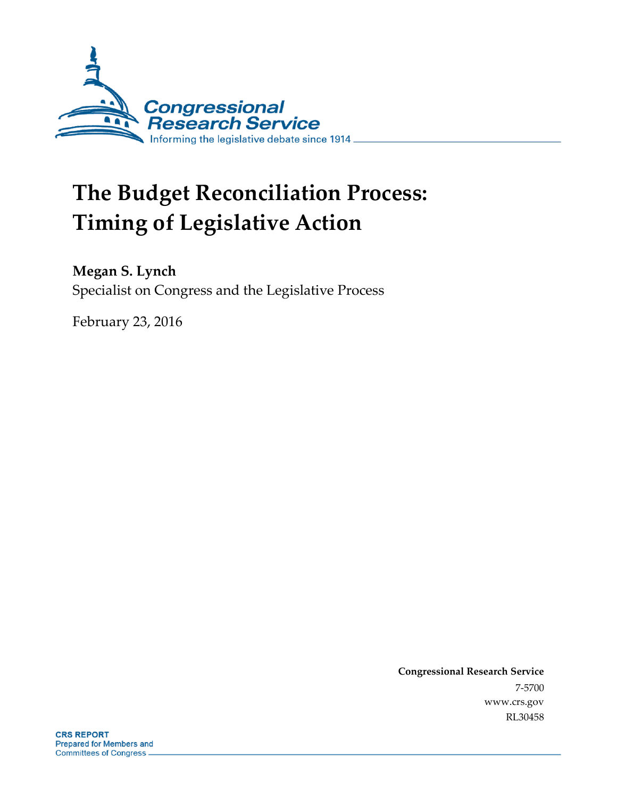

# **The Budget Reconciliation Process: Timing of Legislative Action**

### **Megan S. Lynch**

Specialist on Congress and the Legislative Process

February 23, 2016

**Congressional Research Service** 7-5700 www.crs.gov RL30458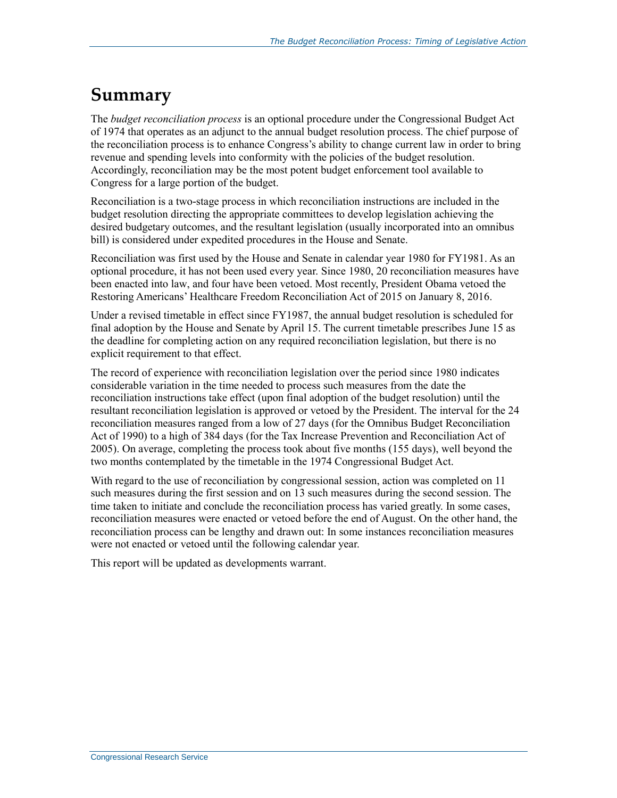### **Summary**

The *budget reconciliation process* is an optional procedure under the Congressional Budget Act of 1974 that operates as an adjunct to the annual budget resolution process. The chief purpose of the reconciliation process is to enhance Congress's ability to change current law in order to bring revenue and spending levels into conformity with the policies of the budget resolution. Accordingly, reconciliation may be the most potent budget enforcement tool available to Congress for a large portion of the budget.

Reconciliation is a two-stage process in which reconciliation instructions are included in the budget resolution directing the appropriate committees to develop legislation achieving the desired budgetary outcomes, and the resultant legislation (usually incorporated into an omnibus bill) is considered under expedited procedures in the House and Senate.

Reconciliation was first used by the House and Senate in calendar year 1980 for FY1981. As an optional procedure, it has not been used every year. Since 1980, 20 reconciliation measures have been enacted into law, and four have been vetoed. Most recently, President Obama vetoed the Restoring Americans' Healthcare Freedom Reconciliation Act of 2015 on January 8, 2016.

Under a revised timetable in effect since FY1987, the annual budget resolution is scheduled for final adoption by the House and Senate by April 15. The current timetable prescribes June 15 as the deadline for completing action on any required reconciliation legislation, but there is no explicit requirement to that effect.

The record of experience with reconciliation legislation over the period since 1980 indicates considerable variation in the time needed to process such measures from the date the reconciliation instructions take effect (upon final adoption of the budget resolution) until the resultant reconciliation legislation is approved or vetoed by the President. The interval for the 24 reconciliation measures ranged from a low of 27 days (for the Omnibus Budget Reconciliation Act of 1990) to a high of 384 days (for the Tax Increase Prevention and Reconciliation Act of 2005). On average, completing the process took about five months (155 days), well beyond the two months contemplated by the timetable in the 1974 Congressional Budget Act.

With regard to the use of reconciliation by congressional session, action was completed on 11 such measures during the first session and on 13 such measures during the second session. The time taken to initiate and conclude the reconciliation process has varied greatly. In some cases, reconciliation measures were enacted or vetoed before the end of August. On the other hand, the reconciliation process can be lengthy and drawn out: In some instances reconciliation measures were not enacted or vetoed until the following calendar year.

This report will be updated as developments warrant.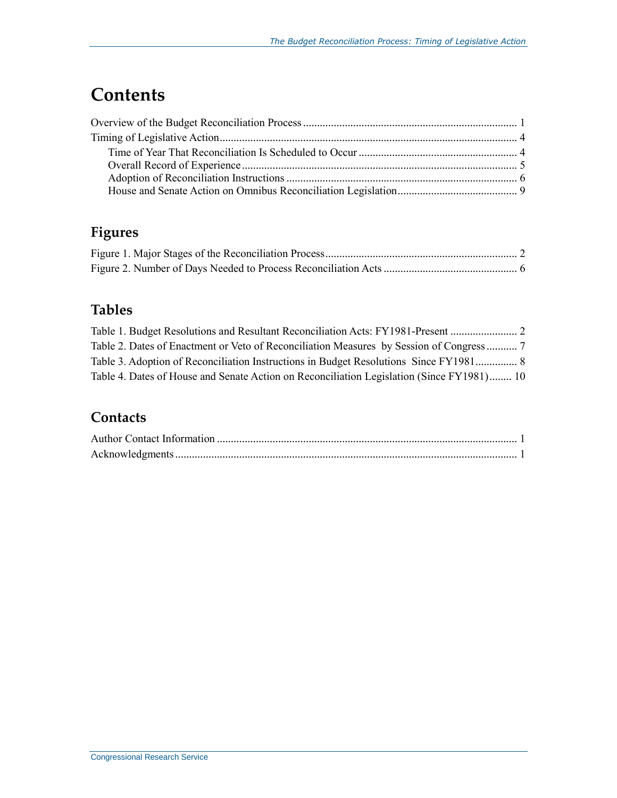## **Contents**

### **Figures**

### **Tables**

| Table 3. Adoption of Reconciliation Instructions in Budget Resolutions Since FY1981 8     |  |
|-------------------------------------------------------------------------------------------|--|
| Table 4. Dates of House and Senate Action on Reconciliation Legislation (Since FY1981) 10 |  |

### **Contacts**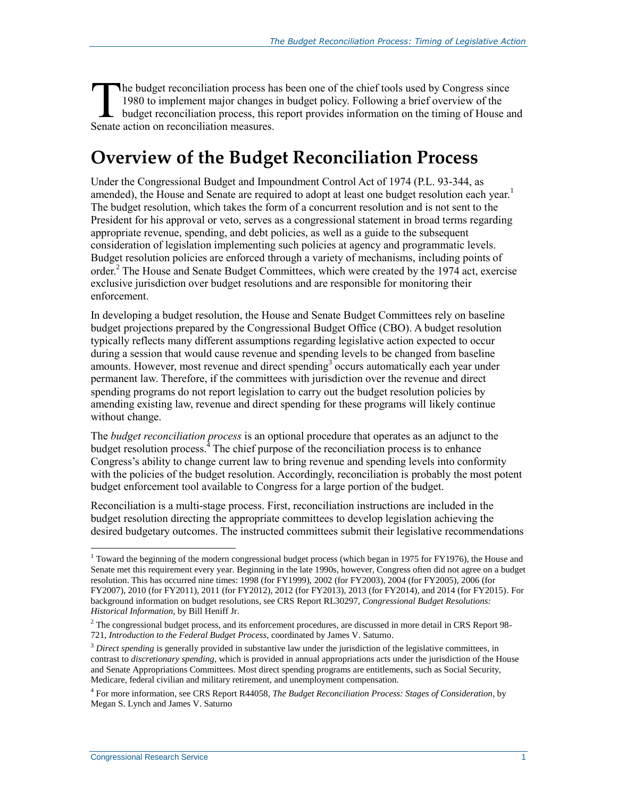he budget reconciliation process has been one of the chief tools used by Congress since 1980 to implement major changes in budget policy. Following a brief overview of the budget reconciliation process, this report provides information on the timing of House and The budget reconciliation process has<br>1980 to implement major changes<br>budget reconciliation process, this<br>Senate action on reconciliation measures.

### **Overview of the Budget Reconciliation Process**

Under the Congressional Budget and Impoundment Control Act of 1974 (P.L. 93-344, as amended), the House and Senate are required to adopt at least one budget resolution each year.<sup>1</sup> The budget resolution, which takes the form of a concurrent resolution and is not sent to the President for his approval or veto, serves as a congressional statement in broad terms regarding appropriate revenue, spending, and debt policies, as well as a guide to the subsequent consideration of legislation implementing such policies at agency and programmatic levels. Budget resolution policies are enforced through a variety of mechanisms, including points of order.<sup>2</sup> The House and Senate Budget Committees, which were created by the 1974 act, exercise exclusive jurisdiction over budget resolutions and are responsible for monitoring their enforcement.

In developing a budget resolution, the House and Senate Budget Committees rely on baseline budget projections prepared by the Congressional Budget Office (CBO). A budget resolution typically reflects many different assumptions regarding legislative action expected to occur during a session that would cause revenue and spending levels to be changed from baseline amounts. However, most revenue and direct spending<sup>3</sup> occurs automatically each year under permanent law. Therefore, if the committees with jurisdiction over the revenue and direct spending programs do not report legislation to carry out the budget resolution policies by amending existing law, revenue and direct spending for these programs will likely continue without change.

The *budget reconciliation process* is an optional procedure that operates as an adjunct to the budget resolution process.<sup>4</sup> The chief purpose of the reconciliation process is to enhance Congress's ability to change current law to bring revenue and spending levels into conformity with the policies of the budget resolution. Accordingly, reconciliation is probably the most potent budget enforcement tool available to Congress for a large portion of the budget.

Reconciliation is a multi-stage process. First, reconciliation instructions are included in the budget resolution directing the appropriate committees to develop legislation achieving the desired budgetary outcomes. The instructed committees submit their legislative recommendations

<sup>&</sup>lt;sup>1</sup> Toward the beginning of the modern congressional budget process (which began in 1975 for FY1976), the House and Senate met this requirement every year. Beginning in the late 1990s, however, Congress often did not agree on a budget resolution. This has occurred nine times: 1998 (for FY1999), 2002 (for FY2003), 2004 (for FY2005), 2006 (for FY2007), 2010 (for FY2011), 2011 (for FY2012), 2012 (for FY2013), 2013 (for FY2014), and 2014 (for FY2015). For background information on budget resolutions, see CRS Report RL30297, *Congressional Budget Resolutions: Historical Information*, by Bill Heniff Jr.

 $2$  The congressional budget process, and its enforcement procedures, are discussed in more detail in CRS Report 98-721, *Introduction to the Federal Budget Process*, coordinated by James V. Saturno.

<sup>&</sup>lt;sup>3</sup> Direct spending is generally provided in substantive law under the jurisdiction of the legislative committees, in contrast to *discretionary spending*, which is provided in annual appropriations acts under the jurisdiction of the House and Senate Appropriations Committees. Most direct spending programs are entitlements, such as Social Security, Medicare, federal civilian and military retirement, and unemployment compensation.

<sup>4</sup> For more information, see CRS Report R44058, *The Budget Reconciliation Process: Stages of Consideration*, by Megan S. Lynch and James V. Saturno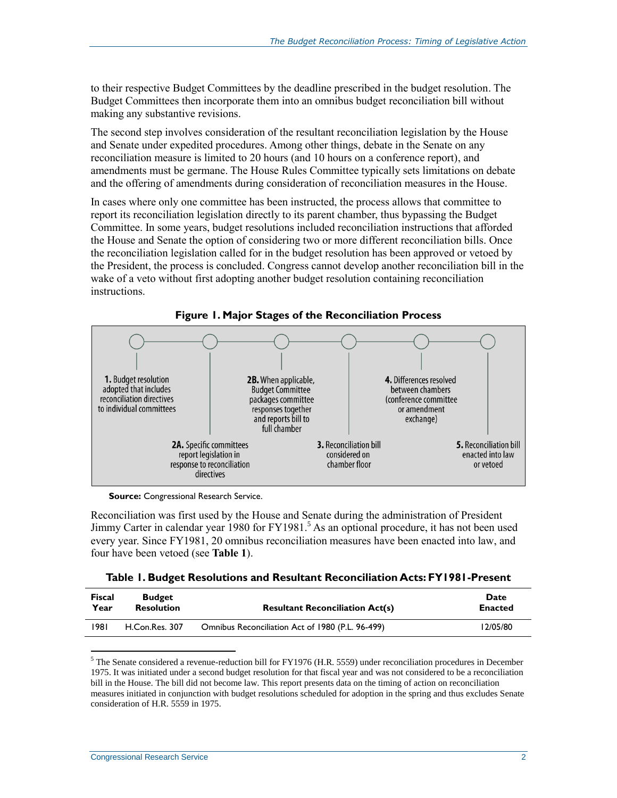to their respective Budget Committees by the deadline prescribed in the budget resolution. The Budget Committees then incorporate them into an omnibus budget reconciliation bill without making any substantive revisions.

The second step involves consideration of the resultant reconciliation legislation by the House and Senate under expedited procedures. Among other things, debate in the Senate on any reconciliation measure is limited to 20 hours (and 10 hours on a conference report), and amendments must be germane. The House Rules Committee typically sets limitations on debate and the offering of amendments during consideration of reconciliation measures in the House.

In cases where only one committee has been instructed, the process allows that committee to report its reconciliation legislation directly to its parent chamber, thus bypassing the Budget Committee. In some years, budget resolutions included reconciliation instructions that afforded the House and Senate the option of considering two or more different reconciliation bills. Once the reconciliation legislation called for in the budget resolution has been approved or vetoed by the President, the process is concluded. Congress cannot develop another reconciliation bill in the wake of a veto without first adopting another budget resolution containing reconciliation instructions.



**Figure 1. Major Stages of the Reconciliation Process**

**Source:** Congressional Research Service.

Reconciliation was first used by the House and Senate during the administration of President Jimmy Carter in calendar year 1980 for FY1981.<sup>5</sup> As an optional procedure, it has not been used every year. Since FY1981, 20 omnibus reconciliation measures have been enacted into law, and four have been vetoed (see **[Table 1](#page-4-0)**).

<span id="page-4-0"></span>

|  |  |  |  | Table 1. Budget Resolutions and Resultant Reconciliation Acts: FY1981-Present |  |  |
|--|--|--|--|-------------------------------------------------------------------------------|--|--|
|--|--|--|--|-------------------------------------------------------------------------------|--|--|

| <b>Fiscal</b> | <b>Budget</b>     | <b>Resultant Reconciliation Act(s)</b>           | Date           |
|---------------|-------------------|--------------------------------------------------|----------------|
| Year          | <b>Resolution</b> |                                                  | <b>Enacted</b> |
| 1981          | H.Con.Res. 307    | Omnibus Reconciliation Act of 1980 (P.L. 96-499) | 12/05/80       |

<sup>&</sup>lt;sup>5</sup> The Senate considered a revenue-reduction bill for FY1976 (H.R. 5559) under reconciliation procedures in December 1975. It was initiated under a second budget resolution for that fiscal year and was not considered to be a reconciliation bill in the House. The bill did not become law. This report presents data on the timing of action on reconciliation measures initiated in conjunction with budget resolutions scheduled for adoption in the spring and thus excludes Senate consideration of H.R. 5559 in 1975.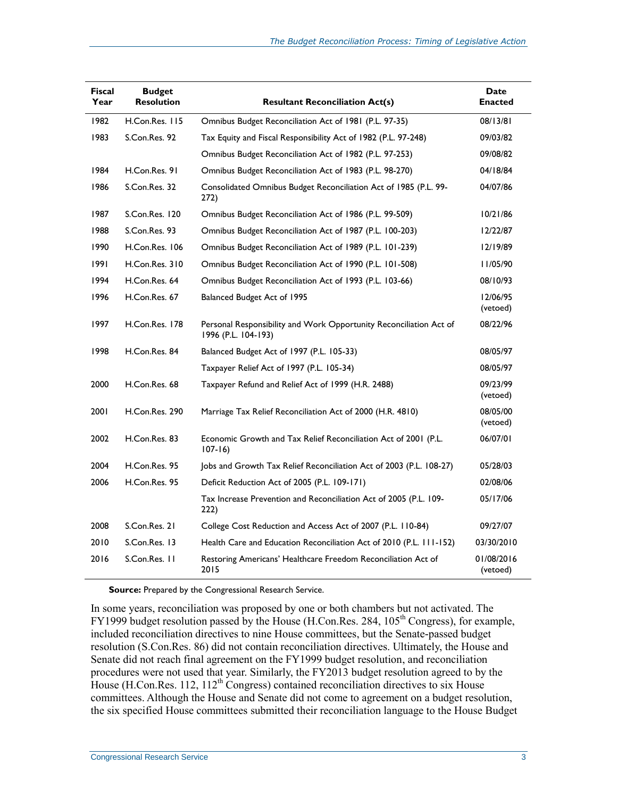| <b>Fiscal</b><br>Year | <b>Budget</b><br><b>Resolution</b> | <b>Resultant Reconciliation Act(s)</b>                                                    | Date<br><b>Enacted</b> |
|-----------------------|------------------------------------|-------------------------------------------------------------------------------------------|------------------------|
| 1982                  | H.Con.Res. 115                     | Omnibus Budget Reconciliation Act of 1981 (P.L. 97-35)                                    | 08/13/81               |
| 1983                  | S.Con.Res. 92                      | Tax Equity and Fiscal Responsibility Act of 1982 (P.L. 97-248)                            | 09/03/82               |
|                       |                                    | Omnibus Budget Reconciliation Act of 1982 (P.L. 97-253)                                   | 09/08/82               |
| 1984                  | H.Con.Res. 91                      | Omnibus Budget Reconciliation Act of 1983 (P.L. 98-270)                                   | 04/18/84               |
| 1986                  | S.Con.Res. 32                      | Consolidated Omnibus Budget Reconciliation Act of 1985 (P.L. 99-<br>272)                  | 04/07/86               |
| 1987                  | S.Con.Res. 120                     | Omnibus Budget Reconciliation Act of 1986 (P.L. 99-509)                                   | 10/21/86               |
| 1988                  | S.Con.Res. 93                      | Omnibus Budget Reconciliation Act of 1987 (P.L. 100-203)                                  | 12/22/87               |
| 1990                  | H.Con.Res. 106                     | Omnibus Budget Reconciliation Act of 1989 (P.L. 101-239)                                  | 12/19/89               |
| 1991                  | H.Con.Res. 310                     | Omnibus Budget Reconciliation Act of 1990 (P.L. 101-508)                                  | 11/05/90               |
| 1994                  | H.Con.Res. 64                      | Omnibus Budget Reconciliation Act of 1993 (P.L. 103-66)                                   | 08/10/93               |
| 1996                  | H.Con.Res. 67                      | Balanced Budget Act of 1995                                                               | 12/06/95<br>(vetoed)   |
| 1997                  | H.Con.Res. 178                     | Personal Responsibility and Work Opportunity Reconciliation Act of<br>1996 (P.L. 104-193) | 08/22/96               |
| 1998                  | H.Con.Res. 84                      | Balanced Budget Act of 1997 (P.L. 105-33)                                                 | 08/05/97               |
|                       |                                    | Taxpayer Relief Act of 1997 (P.L. 105-34)                                                 | 08/05/97               |
| 2000                  | H.Con.Res. 68                      | Taxpayer Refund and Relief Act of 1999 (H.R. 2488)                                        | 09/23/99<br>(vetoed)   |
| 2001                  | H.Con.Res. 290                     | Marriage Tax Relief Reconciliation Act of 2000 (H.R. 4810)                                | 08/05/00<br>(vetoed)   |
| 2002                  | H.Con.Res. 83                      | Economic Growth and Tax Relief Reconciliation Act of 2001 (P.L.<br>$107 - 16$             | 06/07/01               |
| 2004                  | H.Con.Res. 95                      | Jobs and Growth Tax Relief Reconciliation Act of 2003 (P.L. 108-27)                       | 05/28/03               |
| 2006                  | H.Con.Res. 95                      | Deficit Reduction Act of 2005 (P.L. 109-171)                                              | 02/08/06               |
|                       |                                    | Tax Increase Prevention and Reconciliation Act of 2005 (P.L. 109-<br>222)                 | 05/17/06               |
| 2008                  | S.Con.Res. 21                      | College Cost Reduction and Access Act of 2007 (P.L. 110-84)                               | 09/27/07               |
| 2010                  | S.Con.Res. 13                      | Health Care and Education Reconciliation Act of 2010 (P.L. 111-152)                       | 03/30/2010             |
| 2016                  | S.Con.Res. 11                      | Restoring Americans' Healthcare Freedom Reconciliation Act of<br>2015                     | 01/08/2016<br>(vetoed) |

**Source:** Prepared by the Congressional Research Service.

In some years, reconciliation was proposed by one or both chambers but not activated. The FY1999 budget resolution passed by the House (H.Con.Res. 284,  $105<sup>th</sup>$  Congress), for example, included reconciliation directives to nine House committees, but the Senate-passed budget resolution (S.Con.Res. 86) did not contain reconciliation directives. Ultimately, the House and Senate did not reach final agreement on the FY1999 budget resolution, and reconciliation procedures were not used that year. Similarly, the FY2013 budget resolution agreed to by the House (H.Con.Res. 112, 112<sup>th</sup> Congress) contained reconciliation directives to six House committees. Although the House and Senate did not come to agreement on a budget resolution, the six specified House committees submitted their reconciliation language to the House Budget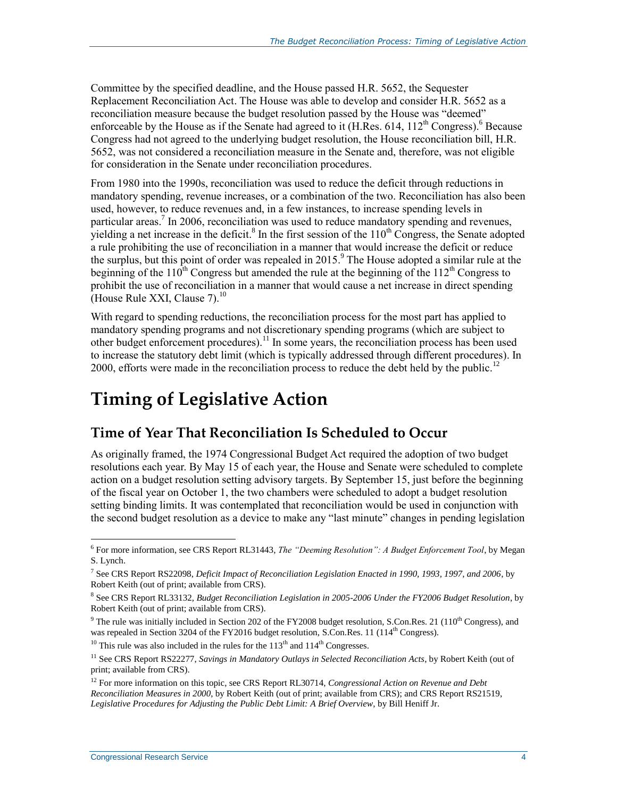Committee by the specified deadline, and the House passed H.R. 5652, the Sequester Replacement Reconciliation Act. The House was able to develop and consider H.R. 5652 as a reconciliation measure because the budget resolution passed by the House was "deemed" enforceable by the House as if the Senate had agreed to it (H.Res. 614,  $112^{th}$  Congress).<sup>6</sup> Because Congress had not agreed to the underlying budget resolution, the House reconciliation bill, H.R. 5652, was not considered a reconciliation measure in the Senate and, therefore, was not eligible for consideration in the Senate under reconciliation procedures.

From 1980 into the 1990s, reconciliation was used to reduce the deficit through reductions in mandatory spending, revenue increases, or a combination of the two. Reconciliation has also been used, however, to reduce revenues and, in a few instances, to increase spending levels in particular areas.<sup>7</sup> In 2006, reconciliation was used to reduce mandatory spending and revenues, yielding a net increase in the deficit.<sup>8</sup> In the first session of the  $110^{th}$  Congress, the Senate adopted a rule prohibiting the use of reconciliation in a manner that would increase the deficit or reduce the surplus, but this point of order was repealed in 2015. 9 The House adopted a similar rule at the beginning of the 110<sup>th</sup> Congress but amended the rule at the beginning of the 112<sup>th</sup> Congress to prohibit the use of reconciliation in a manner that would cause a net increase in direct spending (House Rule XXI, Clause  $7)^{10}$ 

With regard to spending reductions, the reconciliation process for the most part has applied to mandatory spending programs and not discretionary spending programs (which are subject to other budget enforcement procedures).<sup>11</sup> In some years, the reconciliation process has been used to increase the statutory debt limit (which is typically addressed through different procedures). In 2000, efforts were made in the reconciliation process to reduce the debt held by the public.<sup>12</sup>

# **Timing of Legislative Action**

#### **Time of Year That Reconciliation Is Scheduled to Occur**

As originally framed, the 1974 Congressional Budget Act required the adoption of two budget resolutions each year. By May 15 of each year, the House and Senate were scheduled to complete action on a budget resolution setting advisory targets. By September 15, just before the beginning of the fiscal year on October 1, the two chambers were scheduled to adopt a budget resolution setting binding limits. It was contemplated that reconciliation would be used in conjunction with the second budget resolution as a device to make any "last minute" changes in pending legislation

<sup>10</sup> This rule was also included in the rules for the  $113<sup>th</sup>$  and  $114<sup>th</sup>$  Congresses.

<sup>6</sup> For more information, see CRS Report RL31443, *The "Deeming Resolution": A Budget Enforcement Tool*, by Megan S. Lynch.

<sup>7</sup> See CRS Report RS22098, *Deficit Impact of Reconciliation Legislation Enacted in 1990, 1993, 1997, and 2006*, by Robert Keith (out of print; available from CRS).

<sup>8</sup> See CRS Report RL33132, *Budget Reconciliation Legislation in 2005-2006 Under the FY2006 Budget Resolution*, by Robert Keith (out of print; available from CRS).

 $9$  The rule was initially included in Section 202 of the FY2008 budget resolution, S.Con.Res. 21 (110<sup>th</sup> Congress), and was repealed in Section 3204 of the FY2016 budget resolution, S.Con.Res. 11 (114<sup>th</sup> Congress).

<sup>&</sup>lt;sup>11</sup> See CRS Report RS22277, *Savings in Mandatory Outlays in Selected Reconciliation Acts*, by Robert Keith (out of print; available from CRS).

<sup>12</sup> For more information on this topic, see CRS Report RL30714, *Congressional Action on Revenue and Debt Reconciliation Measures in 2000*, by Robert Keith (out of print; available from CRS); and CRS Report RS21519, *Legislative Procedures for Adjusting the Public Debt Limit: A Brief Overview*, by Bill Heniff Jr.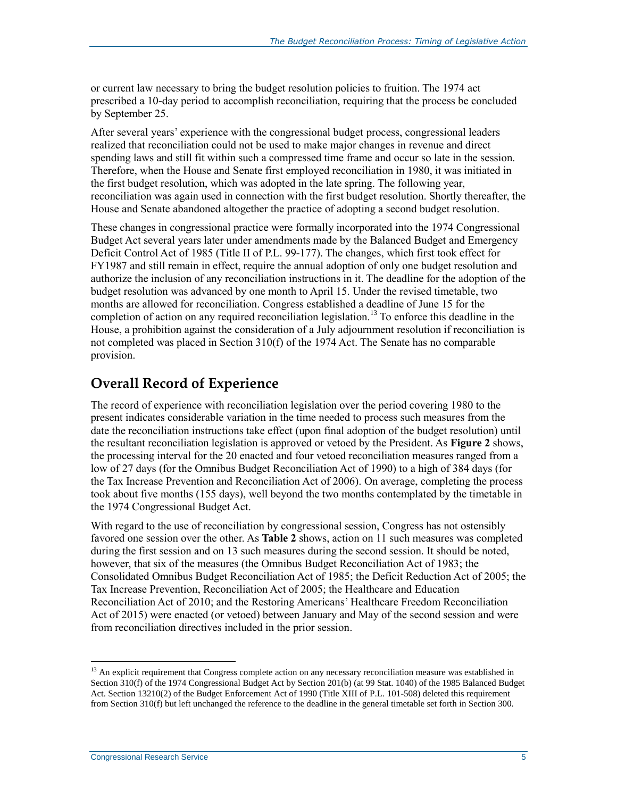or current law necessary to bring the budget resolution policies to fruition. The 1974 act prescribed a 10-day period to accomplish reconciliation, requiring that the process be concluded by September 25.

After several years' experience with the congressional budget process, congressional leaders realized that reconciliation could not be used to make major changes in revenue and direct spending laws and still fit within such a compressed time frame and occur so late in the session. Therefore, when the House and Senate first employed reconciliation in 1980, it was initiated in the first budget resolution, which was adopted in the late spring. The following year, reconciliation was again used in connection with the first budget resolution. Shortly thereafter, the House and Senate abandoned altogether the practice of adopting a second budget resolution.

These changes in congressional practice were formally incorporated into the 1974 Congressional Budget Act several years later under amendments made by the Balanced Budget and Emergency Deficit Control Act of 1985 (Title II of P.L. 99-177). The changes, which first took effect for FY1987 and still remain in effect, require the annual adoption of only one budget resolution and authorize the inclusion of any reconciliation instructions in it. The deadline for the adoption of the budget resolution was advanced by one month to April 15. Under the revised timetable, two months are allowed for reconciliation. Congress established a deadline of June 15 for the completion of action on any required reconciliation legislation.<sup>13</sup> To enforce this deadline in the House, a prohibition against the consideration of a July adjournment resolution if reconciliation is not completed was placed in Section 310(f) of the 1974 Act. The Senate has no comparable provision.

#### **Overall Record of Experience**

The record of experience with reconciliation legislation over the period covering 1980 to the present indicates considerable variation in the time needed to process such measures from the date the reconciliation instructions take effect (upon final adoption of the budget resolution) until the resultant reconciliation legislation is approved or vetoed by the President. As **[Figure 2](#page-8-0)** shows, the processing interval for the 20 enacted and four vetoed reconciliation measures ranged from a low of 27 days (for the Omnibus Budget Reconciliation Act of 1990) to a high of 384 days (for the Tax Increase Prevention and Reconciliation Act of 2006). On average, completing the process took about five months (155 days), well beyond the two months contemplated by the timetable in the 1974 Congressional Budget Act.

With regard to the use of reconciliation by congressional session, Congress has not ostensibly favored one session over the other. As **[Table 2](#page-9-0)** shows, action on 11 such measures was completed during the first session and on 13 such measures during the second session. It should be noted, however, that six of the measures (the Omnibus Budget Reconciliation Act of 1983; the Consolidated Omnibus Budget Reconciliation Act of 1985; the Deficit Reduction Act of 2005; the Tax Increase Prevention, Reconciliation Act of 2005; the Healthcare and Education Reconciliation Act of 2010; and the Restoring Americans' Healthcare Freedom Reconciliation Act of 2015) were enacted (or vetoed) between January and May of the second session and were from reconciliation directives included in the prior session.

<sup>&</sup>lt;sup>13</sup> An explicit requirement that Congress complete action on any necessary reconciliation measure was established in Section 310(f) of the 1974 Congressional Budget Act by Section 201(b) (at 99 Stat. 1040) of the 1985 Balanced Budget Act. Section 13210(2) of the Budget Enforcement Act of 1990 (Title XIII of P.L. 101-508) deleted this requirement from Section 310(f) but left unchanged the reference to the deadline in the general timetable set forth in Section 300.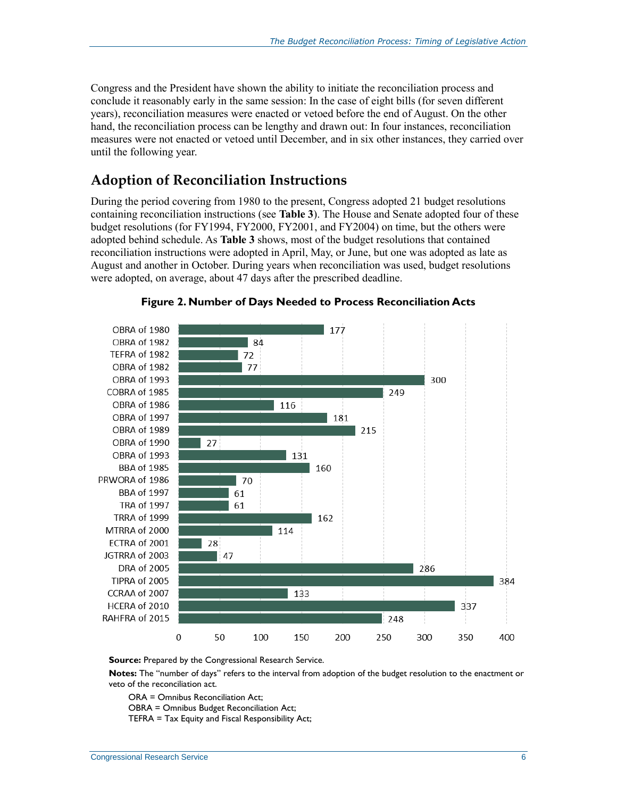Congress and the President have shown the ability to initiate the reconciliation process and conclude it reasonably early in the same session: In the case of eight bills (for seven different years), reconciliation measures were enacted or vetoed before the end of August. On the other hand, the reconciliation process can be lengthy and drawn out: In four instances, reconciliation measures were not enacted or vetoed until December, and in six other instances, they carried over until the following year.

#### **Adoption of Reconciliation Instructions**

During the period covering from 1980 to the present, Congress adopted 21 budget resolutions containing reconciliation instructions (see **[Table 3](#page-10-0)**). The House and Senate adopted four of these budget resolutions (for FY1994, FY2000, FY2001, and FY2004) on time, but the others were adopted behind schedule. As **[Table 3](#page-10-0)** shows, most of the budget resolutions that contained reconciliation instructions were adopted in April, May, or June, but one was adopted as late as August and another in October. During years when reconciliation was used, budget resolutions were adopted, on average, about 47 days after the prescribed deadline.

<span id="page-8-0"></span>



**Source:** Prepared by the Congressional Research Service.

**Notes:** The "number of days" refers to the interval from adoption of the budget resolution to the enactment or veto of the reconciliation act.

ORA = Omnibus Reconciliation Act;

OBRA = Omnibus Budget Reconciliation Act;

TEFRA = Tax Equity and Fiscal Responsibility Act;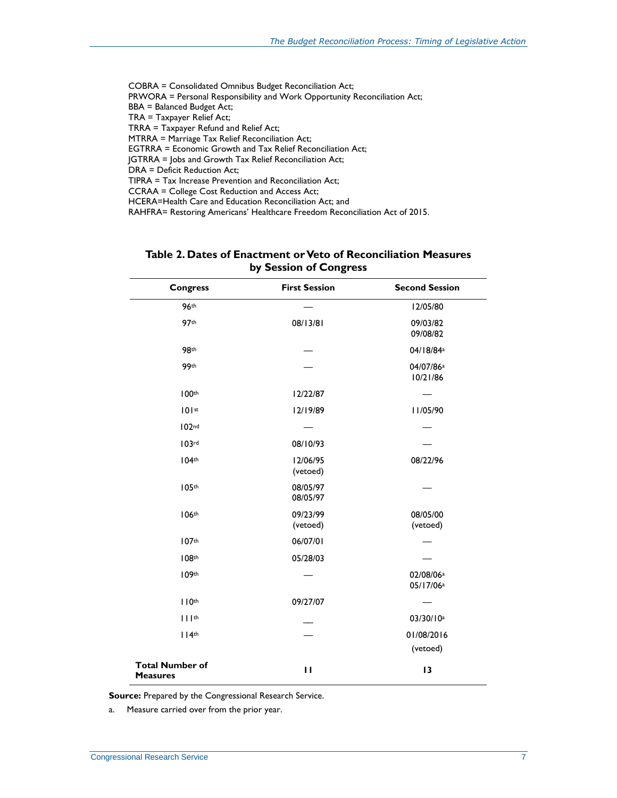COBRA = Consolidated Omnibus Budget Reconciliation Act; PRWORA = Personal Responsibility and Work Opportunity Reconciliation Act; BBA = Balanced Budget Act; TRA = Taxpayer Relief Act; TRRA = Taxpayer Refund and Relief Act; MTRRA = Marriage Tax Relief Reconciliation Act; EGTRRA = Economic Growth and Tax Relief Reconciliation Act; JGTRRA = Jobs and Growth Tax Relief Reconciliation Act; DRA = Deficit Reduction Act; TIPRA = Tax Increase Prevention and Reconciliation Act; CCRAA = College Cost Reduction and Access Act;

HCERA=Health Care and Education Reconciliation Act; and

RAHFRA= Restoring Americans' Healthcare Freedom Reconciliation Act of 2015.

<span id="page-9-0"></span>

| <b>Congress</b>                           | <b>First Session</b> | <b>Second Session</b>                          |
|-------------------------------------------|----------------------|------------------------------------------------|
| <b>96th</b>                               |                      | 12/05/80                                       |
| 97th                                      | 08/13/81             | 09/03/82<br>09/08/82                           |
| 98th                                      |                      | 04/18/84 <sup>a</sup>                          |
| 99th                                      |                      | 04/07/86 <sup>a</sup><br>10/21/86              |
| 100th                                     | 12/22/87             |                                                |
| 101st                                     | 12/19/89             | II/05/90                                       |
| 102 <sup>nd</sup>                         |                      |                                                |
| 103rd                                     | 08/10/93             |                                                |
| 104 <sup>th</sup>                         | 12/06/95<br>(vetoed) | 08/22/96                                       |
| 105th                                     | 08/05/97<br>08/05/97 |                                                |
| 106th                                     | 09/23/99<br>(vetoed) | 08/05/00<br>(vetoed)                           |
| 107th                                     | 06/07/01             |                                                |
| 108 <sup>th</sup>                         | 05/28/03             |                                                |
| 109th                                     |                      | 02/08/06 <sup>a</sup><br>05/17/06 <sup>a</sup> |
| 110 <sup>th</sup>                         | 09/27/07             |                                                |
| $     $ th                                |                      | 03/30/10 <sup>a</sup>                          |
| 114 <sup>th</sup>                         |                      | 01/08/2016                                     |
|                                           |                      | (vetoed)                                       |
| <b>Total Number of</b><br><b>Measures</b> | $\mathbf{H}$         | 13                                             |

#### **Table 2. Dates of Enactment or Veto of Reconciliation Measures by Session of Congress**

**Source:** Prepared by the Congressional Research Service.

<span id="page-9-1"></span>a. Measure carried over from the prior year.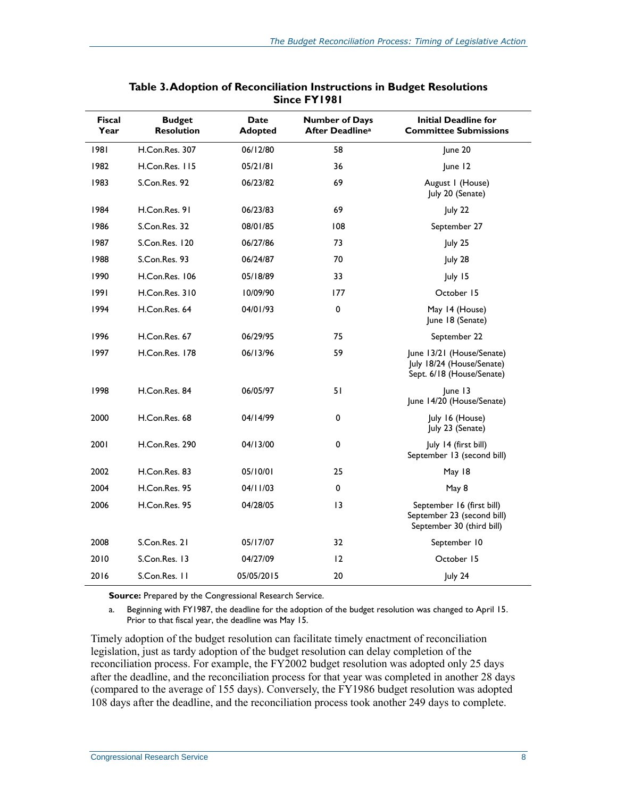<span id="page-10-0"></span>

| <b>Fiscal</b><br>Year | <b>Budget</b><br><b>Resolution</b> | Date<br><b>Adopted</b> | <b>Number of Days</b><br><b>After Deadlinea</b> | <b>Initial Deadline for</b><br><b>Committee Submissions</b>                          |
|-----------------------|------------------------------------|------------------------|-------------------------------------------------|--------------------------------------------------------------------------------------|
| 1981                  | H.Con.Res. 307                     | 06/12/80               | 58                                              | June 20                                                                              |
| 1982                  | H.Con.Res. 115                     | 05/21/81               | 36                                              | June 12                                                                              |
| 1983                  | S.Con.Res. 92                      | 06/23/82               | 69                                              | August I (House)<br>July 20 (Senate)                                                 |
| 1984                  | H.Con.Res. 91                      | 06/23/83               | 69                                              | July 22                                                                              |
| 1986                  | S.Con.Res. 32                      | 08/01/85               | 108                                             | September 27                                                                         |
| 1987                  | S.Con.Res. 120                     | 06/27/86               | 73                                              | July 25                                                                              |
| 1988                  | S.Con.Res. 93                      | 06/24/87               | 70                                              | July 28                                                                              |
| 1990                  | H.Con.Res. 106                     | 05/18/89               | 33                                              | July 15                                                                              |
| 1991                  | H.Con.Res. 310                     | 10/09/90               | 177                                             | October 15                                                                           |
| 1994                  | H.Con.Res. 64                      | 04/01/93               | $\pmb{0}$                                       | May 14 (House)<br>June 18 (Senate)                                                   |
| 1996                  | H.Con.Res. 67                      | 06/29/95               | 75                                              | September 22                                                                         |
| 1997                  | H.Con.Res. 178                     | 06/13/96               | 59                                              | June 13/21 (House/Senate)<br>July 18/24 (House/Senate)<br>Sept. 6/18 (House/Senate)  |
| 1998                  | H.Con.Res. 84                      | 06/05/97               | 51                                              | June 13<br>June 14/20 (House/Senate)                                                 |
| 2000                  | H.Con.Res. 68                      | 04/14/99               | 0                                               | July 16 (House)<br>July 23 (Senate)                                                  |
| 2001                  | H.Con.Res. 290                     | 04/13/00               | 0                                               | July 14 (first bill)<br>September 13 (second bill)                                   |
| 2002                  | H.Con.Res. 83                      | 05/10/01               | 25                                              | May 18                                                                               |
| 2004                  | H.Con.Res. 95                      | 04/11/03               | 0                                               | May 8                                                                                |
| 2006                  | H.Con.Res. 95                      | 04/28/05               | 13                                              | September 16 (first bill)<br>September 23 (second bill)<br>September 30 (third bill) |
| 2008                  | S.Con.Res. 21                      | 05/17/07               | 32                                              | September 10                                                                         |
| 2010                  | S.Con.Res. 13                      | 04/27/09               | 12                                              | October 15                                                                           |
| 2016                  | S.Con.Res. 11                      | 05/05/2015             | 20                                              | July 24                                                                              |

#### **Table 3. Adoption of Reconciliation Instructions in Budget Resolutions Since FY1981**

**Source:** Prepared by the Congressional Research Service.

<span id="page-10-1"></span>a. Beginning with FY1987, the deadline for the adoption of the budget resolution was changed to April 15. Prior to that fiscal year, the deadline was May 15.

Timely adoption of the budget resolution can facilitate timely enactment of reconciliation legislation, just as tardy adoption of the budget resolution can delay completion of the reconciliation process. For example, the FY2002 budget resolution was adopted only 25 days after the deadline, and the reconciliation process for that year was completed in another 28 days (compared to the average of 155 days). Conversely, the FY1986 budget resolution was adopted 108 days after the deadline, and the reconciliation process took another 249 days to complete.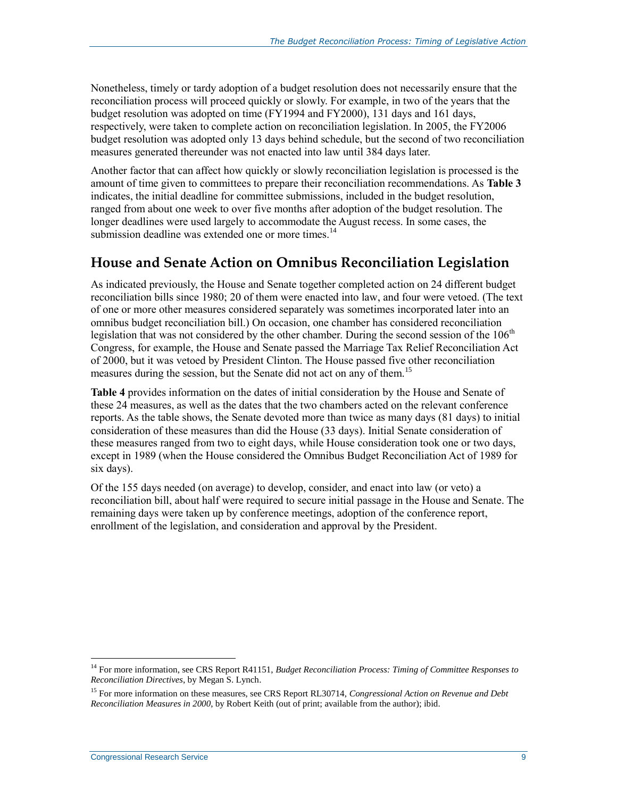Nonetheless, timely or tardy adoption of a budget resolution does not necessarily ensure that the reconciliation process will proceed quickly or slowly. For example, in two of the years that the budget resolution was adopted on time (FY1994 and FY2000), 131 days and 161 days, respectively, were taken to complete action on reconciliation legislation. In 2005, the FY2006 budget resolution was adopted only 13 days behind schedule, but the second of two reconciliation measures generated thereunder was not enacted into law until 384 days later.

Another factor that can affect how quickly or slowly reconciliation legislation is processed is the amount of time given to committees to prepare their reconciliation recommendations. As **[Table 3](#page-10-0)** indicates, the initial deadline for committee submissions, included in the budget resolution, ranged from about one week to over five months after adoption of the budget resolution. The longer deadlines were used largely to accommodate the August recess. In some cases, the submission deadline was extended one or more times.<sup>14</sup>

#### **House and Senate Action on Omnibus Reconciliation Legislation**

As indicated previously, the House and Senate together completed action on 24 different budget reconciliation bills since 1980; 20 of them were enacted into law, and four were vetoed. (The text of one or more other measures considered separately was sometimes incorporated later into an omnibus budget reconciliation bill.) On occasion, one chamber has considered reconciliation legislation that was not considered by the other chamber. During the second session of the  $106<sup>th</sup>$ Congress, for example, the House and Senate passed the Marriage Tax Relief Reconciliation Act of 2000, but it was vetoed by President Clinton. The House passed five other reconciliation measures during the session, but the Senate did not act on any of them.<sup>15</sup>

**[Table 4](#page-12-0)** provides information on the dates of initial consideration by the House and Senate of these 24 measures, as well as the dates that the two chambers acted on the relevant conference reports. As the table shows, the Senate devoted more than twice as many days (81 days) to initial consideration of these measures than did the House (33 days). Initial Senate consideration of these measures ranged from two to eight days, while House consideration took one or two days, except in 1989 (when the House considered the Omnibus Budget Reconciliation Act of 1989 for six days).

Of the 155 days needed (on average) to develop, consider, and enact into law (or veto) a reconciliation bill, about half were required to secure initial passage in the House and Senate. The remaining days were taken up by conference meetings, adoption of the conference report, enrollment of the legislation, and consideration and approval by the President.

<sup>14</sup> For more information, see CRS Report R41151, *Budget Reconciliation Process: Timing of Committee Responses to Reconciliation Directives*, by Megan S. Lynch.

<sup>15</sup> For more information on these measures, see CRS Report RL30714, *Congressional Action on Revenue and Debt Reconciliation Measures in 2000*, by Robert Keith (out of print; available from the author); ibid.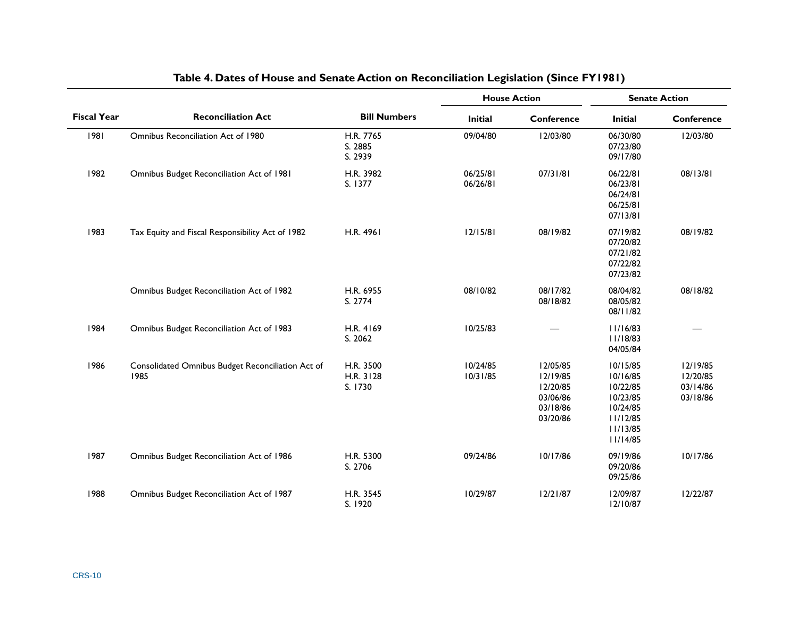<span id="page-12-0"></span>

|                    |                                                           | <b>Bill Numbers</b>               | <b>House Action</b>  |                                                                      | <b>Senate Action</b>                                                                         |                                              |
|--------------------|-----------------------------------------------------------|-----------------------------------|----------------------|----------------------------------------------------------------------|----------------------------------------------------------------------------------------------|----------------------------------------------|
| <b>Fiscal Year</b> | <b>Reconciliation Act</b>                                 |                                   | <b>Initial</b>       | <b>Conference</b>                                                    | <b>Initial</b>                                                                               | Conference                                   |
| 1981               | Omnibus Reconciliation Act of 1980                        | H.R. 7765<br>S. 2885<br>S. 2939   | 09/04/80             | 12/03/80                                                             | 06/30/80<br>07/23/80<br>09/17/80                                                             | 12/03/80                                     |
| 1982               | Omnibus Budget Reconciliation Act of 1981                 | H.R. 3982<br>S. 1377              | 06/25/81<br>06/26/81 | 07/31/81                                                             | 06/22/81<br>06/23/81<br>06/24/81<br>06/25/81<br>07/13/81                                     | 08/13/81                                     |
| 1983               | Tax Equity and Fiscal Responsibility Act of 1982          | H.R. 4961                         | 12/15/81             | 08/19/82                                                             | 07/19/82<br>07/20/82<br>07/21/82<br>07/22/82<br>07/23/82                                     | 08/19/82                                     |
|                    | Omnibus Budget Reconciliation Act of 1982                 | H.R. 6955<br>S. 2774              | 08/10/82             | 08/17/82<br>08/18/82                                                 | 08/04/82<br>08/05/82<br>08/11/82                                                             | 08/18/82                                     |
| 1984               | Omnibus Budget Reconciliation Act of 1983                 | H.R. 4169<br>S. 2062              | 10/25/83             |                                                                      | 11/16/83<br>11/18/83<br>04/05/84                                                             |                                              |
| 1986               | Consolidated Omnibus Budget Reconciliation Act of<br>1985 | H.R. 3500<br>H.R. 3128<br>S. 1730 | 10/24/85<br>10/31/85 | 12/05/85<br>12/19/85<br>12/20/85<br>03/06/86<br>03/18/86<br>03/20/86 | 10/15/85<br>10/16/85<br>10/22/85<br>10/23/85<br>10/24/85<br>11/12/85<br>11/13/85<br>11/14/85 | 12/19/85<br>12/20/85<br>03/14/86<br>03/18/86 |
| 1987               | Omnibus Budget Reconciliation Act of 1986                 | H.R. 5300<br>S. 2706              | 09/24/86             | 10/17/86                                                             | 09/19/86<br>09/20/86<br>09/25/86                                                             | 10/17/86                                     |
| 1988               | Omnibus Budget Reconciliation Act of 1987                 | H.R. 3545<br>S. 1920              | 10/29/87             | 12/21/87                                                             | 12/09/87<br>12/10/87                                                                         | 12/22/87                                     |

#### **Table 4. Dates of House and Senate Action on Reconciliation Legislation (Since FY1981)**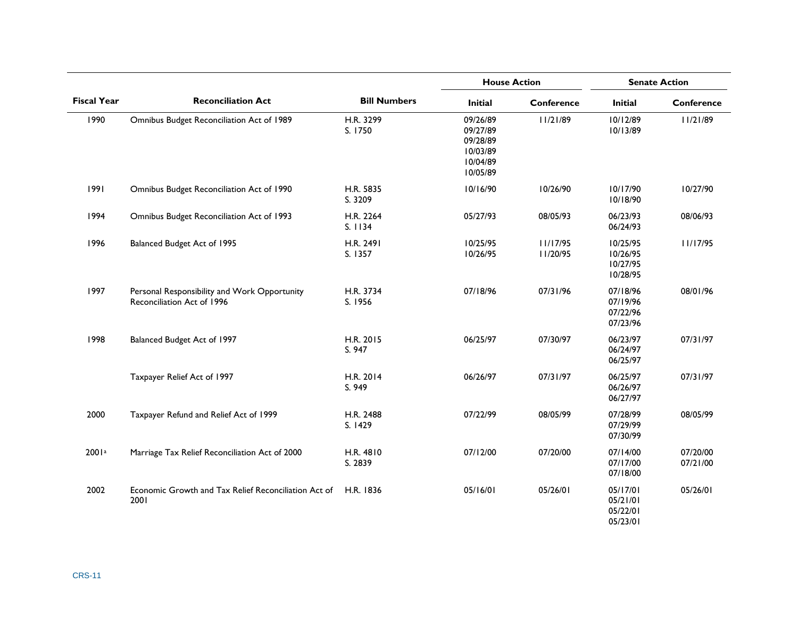|                    |                                                                            |                      | <b>House Action</b>                                                  |                      | <b>Senate Action</b>                         |                      |
|--------------------|----------------------------------------------------------------------------|----------------------|----------------------------------------------------------------------|----------------------|----------------------------------------------|----------------------|
| <b>Fiscal Year</b> | <b>Reconciliation Act</b>                                                  | <b>Bill Numbers</b>  | <b>Initial</b>                                                       | <b>Conference</b>    | <b>Initial</b>                               | Conference           |
| 1990               | Omnibus Budget Reconciliation Act of 1989                                  | H.R. 3299<br>S. 1750 | 09/26/89<br>09/27/89<br>09/28/89<br>10/03/89<br>10/04/89<br>10/05/89 | 11/21/89             | 10/12/89<br>10/13/89                         | 11/21/89             |
| 1991               | Omnibus Budget Reconciliation Act of 1990                                  | H.R. 5835<br>S. 3209 | 10/16/90                                                             | 10/26/90             | 10/17/90<br>10/18/90                         | 10/27/90             |
| 1994               | Omnibus Budget Reconciliation Act of 1993                                  | H.R. 2264<br>S. 1134 | 05/27/93                                                             | 08/05/93             | 06/23/93<br>06/24/93                         | 08/06/93             |
| 1996               | Balanced Budget Act of 1995                                                | H.R. 2491<br>S. 1357 | 10/25/95<br>10/26/95                                                 | 11/17/95<br>II/20/95 | 10/25/95<br>10/26/95<br>10/27/95<br>10/28/95 | 11/17/95             |
| 1997               | Personal Responsibility and Work Opportunity<br>Reconciliation Act of 1996 | H.R. 3734<br>S. 1956 | 07/18/96                                                             | 07/31/96             | 07/18/96<br>07/19/96<br>07/22/96<br>07/23/96 | 08/01/96             |
| 1998               | Balanced Budget Act of 1997                                                | H.R. 2015<br>S. 947  | 06/25/97                                                             | 07/30/97             | 06/23/97<br>06/24/97<br>06/25/97             | 07/31/97             |
|                    | Taxpayer Relief Act of 1997                                                | H.R. 2014<br>S. 949  | 06/26/97                                                             | 07/31/97             | 06/25/97<br>06/26/97<br>06/27/97             | 07/31/97             |
| 2000               | Taxpayer Refund and Relief Act of 1999                                     | H.R. 2488<br>S. 1429 | 07/22/99                                                             | 08/05/99             | 07/28/99<br>07/29/99<br>07/30/99             | 08/05/99             |
| 2001 <sup>a</sup>  | Marriage Tax Relief Reconciliation Act of 2000                             | H.R. 4810<br>S. 2839 | 07/12/00                                                             | 07/20/00             | 07/14/00<br>07/17/00<br>07/18/00             | 07/20/00<br>07/21/00 |
| 2002               | Economic Growth and Tax Relief Reconciliation Act of<br>2001               | H.R. 1836            | 05/16/01                                                             | 05/26/01             | 05/17/01<br>05/21/01<br>05/22/01<br>05/23/01 | 05/26/01             |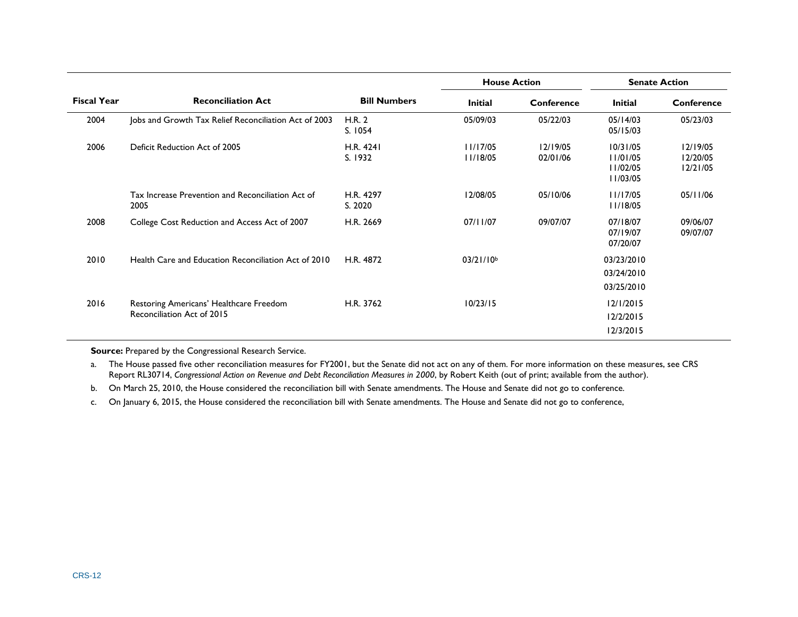|                    |                                                                       |                      |                       | <b>House Action</b>  |                                              | <b>Senate Action</b>             |
|--------------------|-----------------------------------------------------------------------|----------------------|-----------------------|----------------------|----------------------------------------------|----------------------------------|
| <b>Fiscal Year</b> | <b>Reconciliation Act</b>                                             | <b>Bill Numbers</b>  | <b>Initial</b>        | Conference           | <b>Initial</b>                               | Conference                       |
| 2004               | Jobs and Growth Tax Relief Reconciliation Act of 2003                 | H.R. 2<br>S. 1054    | 05/09/03              | 05/22/03             | 05/14/03<br>05/15/03                         | 05/23/03                         |
| 2006               | Deficit Reduction Act of 2005                                         | H.R. 4241<br>S. 1932 | 11/17/05<br>11/18/05  | 12/19/05<br>02/01/06 | 10/31/05<br>11/01/05<br>11/02/05<br>11/03/05 | 12/19/05<br>12/20/05<br>12/21/05 |
|                    | Tax Increase Prevention and Reconciliation Act of<br>2005             | H.R. 4297<br>S. 2020 | 12/08/05              | 05/10/06             | 11/17/05<br>11/18/05                         | 05/11/06                         |
| 2008               | College Cost Reduction and Access Act of 2007                         | H.R. 2669            | 07/11/07              | 09/07/07             | 07/18/07<br>07/19/07<br>07/20/07             | 09/06/07<br>09/07/07             |
| 2010               | Health Care and Education Reconciliation Act of 2010                  | H.R. 4872            | 03/21/10 <sup>b</sup> |                      | 03/23/2010<br>03/24/2010<br>03/25/2010       |                                  |
| 2016               | Restoring Americans' Healthcare Freedom<br>Reconciliation Act of 2015 | H.R. 3762            | 10/23/15              |                      | 12/1/2015<br>12/2/2015<br>12/3/2015          |                                  |

**Source:** Prepared by the Congressional Research Service.

<span id="page-14-0"></span>a. The House passed five other reconciliation measures for FY2001, but the Senate did not act on any of them. For more information on these measures, see CRS Report RL30714, *Congressional Action on Revenue and Debt Reconciliation Measures in 2000*, by Robert Keith (out of print; available from the author).

<span id="page-14-1"></span>b. On March 25, 2010, the House considered the reconciliation bill with Senate amendments. The House and Senate did not go to conference.

c. On January 6, 2015, the House considered the reconciliation bill with Senate amendments. The House and Senate did not go to conference,